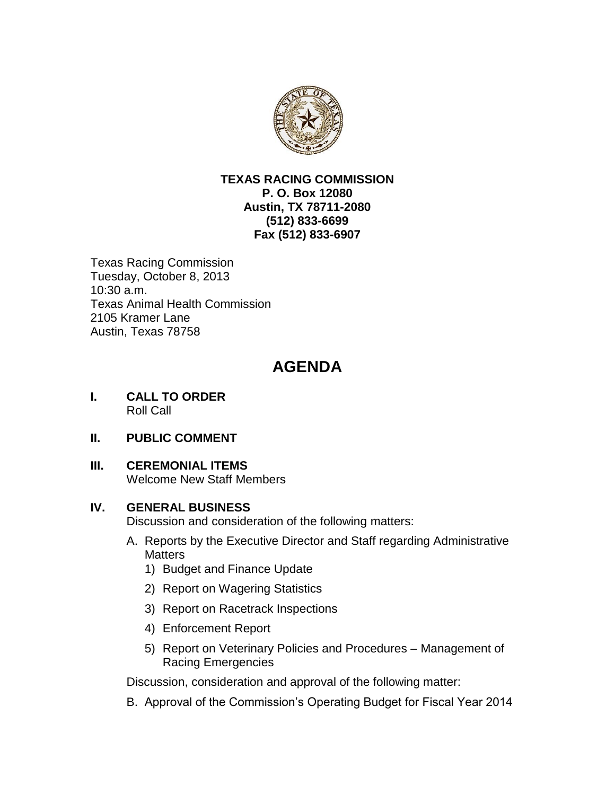

#### **TEXAS RACING COMMISSION P. O. Box 12080 Austin, TX 78711-2080 (512) 833-6699 Fax (512) 833-6907**

Texas Racing Commission Tuesday, October 8, 2013 10:30 a.m. Texas Animal Health Commission 2105 Kramer Lane Austin, Texas 78758

# **AGENDA**

- **I. CALL TO ORDER** Roll Call
- **II. PUBLIC COMMENT**
- **III. CEREMONIAL ITEMS**

Welcome New Staff Members

## **IV. GENERAL BUSINESS**

Discussion and consideration of the following matters:

- A. Reports by the Executive Director and Staff regarding Administrative **Matters** 
	- 1) Budget and Finance Update
	- 2) Report on Wagering Statistics
	- 3) Report on Racetrack Inspections
	- 4) Enforcement Report
	- 5) Report on Veterinary Policies and Procedures Management of Racing Emergencies

Discussion, consideration and approval of the following matter:

B. Approval of the Commission's Operating Budget for Fiscal Year 2014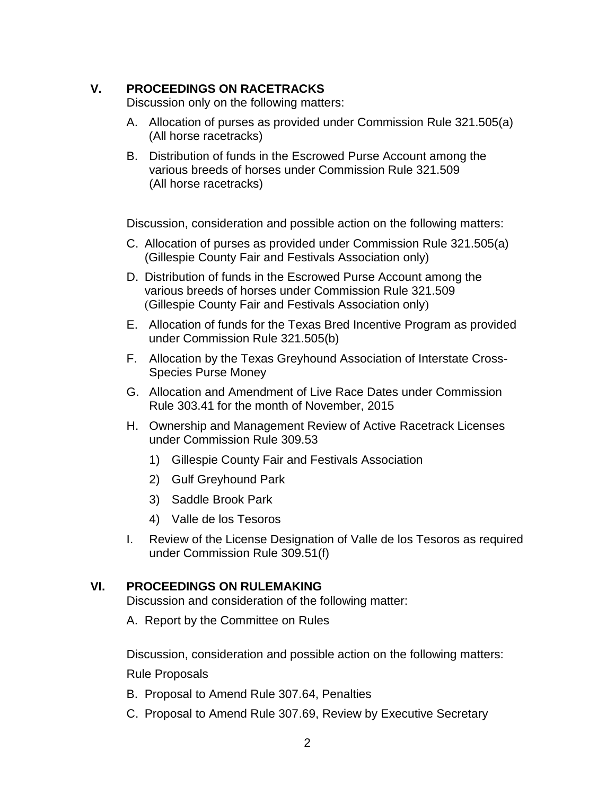## **V. PROCEEDINGS ON RACETRACKS**

Discussion only on the following matters:

- A. Allocation of purses as provided under Commission Rule 321.505(a) (All horse racetracks)
- B. Distribution of funds in the Escrowed Purse Account among the various breeds of horses under Commission Rule 321.509 (All horse racetracks)

Discussion, consideration and possible action on the following matters:

- C. Allocation of purses as provided under Commission Rule 321.505(a) (Gillespie County Fair and Festivals Association only)
- D. Distribution of funds in the Escrowed Purse Account among the various breeds of horses under Commission Rule 321.509 (Gillespie County Fair and Festivals Association only)
- E. Allocation of funds for the Texas Bred Incentive Program as provided under Commission Rule 321.505(b)
- F. Allocation by the Texas Greyhound Association of Interstate Cross-Species Purse Money
- G. Allocation and Amendment of Live Race Dates under Commission Rule 303.41 for the month of November, 2015
- H. Ownership and Management Review of Active Racetrack Licenses under Commission Rule 309.53
	- 1) Gillespie County Fair and Festivals Association
	- 2) Gulf Greyhound Park
	- 3) Saddle Brook Park
	- 4) Valle de los Tesoros
- I. Review of the License Designation of Valle de los Tesoros as required under Commission Rule 309.51(f)

## **VI. PROCEEDINGS ON RULEMAKING**

Discussion and consideration of the following matter:

A. Report by the Committee on Rules

Discussion, consideration and possible action on the following matters:

Rule Proposals

- B. Proposal to Amend Rule 307.64, Penalties
- C. Proposal to Amend Rule 307.69, Review by Executive Secretary